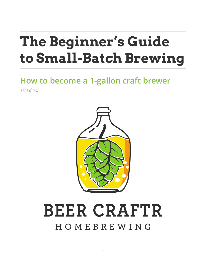# **The Beginner's Guide to Small-Batch Brewing**

# **How to become a 1-gallon craft brewer**

*1st Edition*



# **BEER CRAFTR** HOMEBREWING

*1*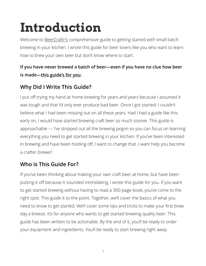# **Introduction**

Welcome to **[BeerCraftr's](http://www.beercraftr.com)** comprehensive guide to getting started with small batch brewing in your kitchen. I wrote this guide for beer lovers like you who want to learn how to brew your own beer but don't know where to start.

#### **If you have never brewed a batch of beer—even if you have no clue how beer is made—this guide's for you.**

### **Why Did I Write This Guide?**

I put off trying my hand at home brewing for years and years because I assumed it was tough and that I'd only ever produce bad beer. Once I got started, I couldn't believe what I had been missing out on all these years. Had I had a guide like this early on, I would have started brewing craft beer so much sooner. This guide is approachable — I've stripped out all the brewing jargon so you can focus on learning everything you need to get started brewing in your kitchen. If you've been interested in brewing and have been holding off, I want to change that. I want help you become a crafter brewer!

### **Who is This Guide For?**

If you've been thinking about making your own craft beer at home, but have been putting it off because it sounded intimidating, I wrote this guide for you. If you want to get started brewing without having to read a 300-page book, you've come to the right spot. This guide it to-the-point. Together, we'll cover the basics of what you need to know to get started. We'll cover some tips and tricks to make your first brew day a breeze. It's for anyone who wants to get started brewing quality beer. This guide has been written to be actionable. By the end of it, you'll be ready to order your equipment and ingredients. You'll be ready to start brewing right away.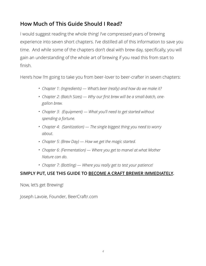### **How Much of This Guide Should I Read?**

I would suggest reading the whole thing! I've compressed years of brewing experience into seven short chapters. I've distilled all of this information to save you time. And while some of the chapters don't deal with brew day, specifically, you will gain an understanding of the whole art of brewing if you read this from start to finish.

Here's how I'm going to take you from beer-lover to beer-crafter in seven chapters:

- *• Chapter 1: (Ingredients) What's beer (really) and how do we make it?*
- *• Chapter 2: (Batch Sizes) Why our first brew will be a small-batch, onegallon brew.*
- *• Chapter 3: (Equipment) What you'll need to get started without spending a fortune.*
- *• Chapter 4: (Sanitization) The single biggest thing you need to worry about.*
- *• Chapter 5: (Brew Day) How we get the magic started.*
- *• Chapter 6: (Fermentation) Where you get to marvel at what Mother Nature can do.*
- *• Chapter 7: (Bottling) Where you really get to test your patience!*

#### **SIMPLY PUT, USE THIS GUIDE TO BECOME A CRAFT BREWER IMMEDIATELY.**

Now, let's get Brewing!

Joseph Lavoie, Founder, BeerCraftr.com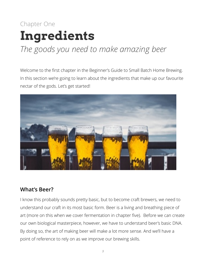## Chapter One **Ingredients** *The goods you need to make amazing beer*

### Welcome to the first chapter in the Beginner's Guide to Small Batch Home Brewing. In this section we're going to learn about the ingredients that make up our favourite nectar of the gods. Let's get started!



#### **What's Beer?**

I know this probably sounds pretty basic, but to become craft brewers, we need to understand our craft in its most basic form. Beer is a living and breathing piece of art (more on this when we cover fermentation in chapter five). Before we can create our own biological masterpiece, however, we have to understand beer's basic DNA. By doing so, the art of making beer will make a lot more sense. And we'll have a point of reference to rely on as we improve our brewing skills.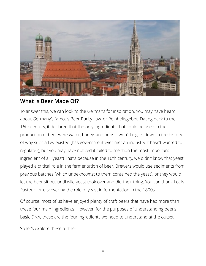

#### **What is Beer Made Of?**

To answer this, we can look to the Germans for inspiration. You may have heard about Germany's famous Beer Purity Law, or [Reinheitsgebot](https://en.wikipedia.org/wiki/Reinheitsgebot). Dating back to the 16th century, it declared that the only ingredients that could be used in the production of beer were water, barley, and hops. I won't bog us down in the history of why such a law existed (has government ever met an industry it hasn't wanted to regulate?), but you may have noticed it failed to mention the most important ingredient of all: yeast! That's because in the 16th century, we didn't know that yeast played a critical role in the fermentation of beer. Brewers would use sediments from previous batches (which unbeknownst to them contained the yeast), or they would [let the beer sit out until wild yeast took over and did their thing. You can thank](https://en.wikipedia.org/wiki/Louis_Pasteur) Louis Pasteur for discovering the role of yeast in fermentation in the 1800s.

Of course, most of us have enjoyed plenty of craft beers that have had more than these four main ingredients. However, for the purposes of understanding beer's basic DNA, these are the four ingredients we need to understand at the outset.

So let's explore these further.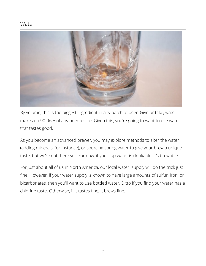#### Water



By volume, this is the biggest ingredient in any batch of beer. Give or take, water makes up 90-96% of any beer recipe. Given this, you're going to want to use water that tastes good.

As you become an advanced brewer, you may explore methods to alter the water (adding minerals, for instance), or sourcing spring water to give your brew a unique taste, but we're not there yet. For now, if your tap water is drinkable, it's brewable.

For just about all of us in North America, our local water supply will do the trick just fine. However, if your water supply is known to have large amounts of sulfur, iron, or bicarbonates, then you'll want to use bottled water. Ditto if you find your water has a chlorine taste. Otherwise, if it tastes fine, it brews fine.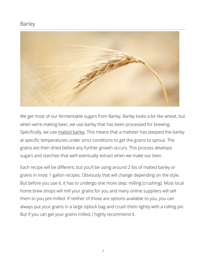#### Barley



We get most of our fermentable sugars from Barley. Barley looks a bit like wheat, but when we're making beer, we use barley that has been processed for brewing. Specifically, we use [malted barley.](https://en.wikipedia.org/wiki/Malt_house) This means that a maltster has steeped the barley at specific temperatures under strict conditions to get the grains to sprout. The grains are then dried before any further growth occurs. This process develops sugars and starches that we'll eventually extract when we make our beer.

Each recipe will be different, but you'll be using around 2 lbs of malted barley or grains in most 1-gallon recipes. Obviously that will change depending on the style. But before you use it, it has to undergo one more step: milling (crushing). Most local home brew shops will mill your grains for you and many online suppliers will sell them to you pre-milled. If neither of those are options available to you, you can always put your grains in a large ziplock bag and crush them lightly with a rolling pin. But if you can get your grains milled, I highly recommend it.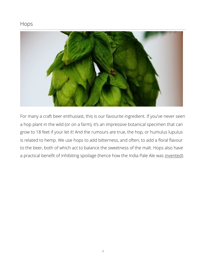#### Hops



For many a craft beer enthusiast, this is our favourite ingredient. If you've never seen a hop plant in the wild (or on a farm), it's an impressive botanical specimen that can grow to 18 feet if your let it! And the rumours are true, the hop, or humulus lupulus is related to hemp. We use hops to add bitterness, and often, to add a floral flavour to the beer, both of which act to balance the sweetness of the malt. Hops also have a practical benefit of inhibiting spoilage (hence how the India Pale Ale was [invented\)](https://en.wikipedia.org/wiki/India_pale_ale).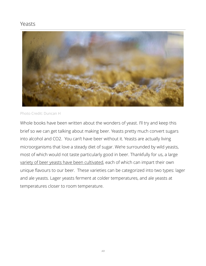#### Yeasts



#### Photo Credit: Duncan H

Whole books have been written about the wonders of yeast. I'll try and keep this brief so we can get talking about making beer. Yeasts pretty much convert sugars into alcohol and CO2. You can't have beer without it. Yeasts are actually living microorganisms that love a steady diet of sugar. We're surrounded by wild yeasts, most of which would not taste particularly good in beer. Thankfully for us, a large [variety of beer yeasts have been cultivated](https://www.wyeastlab.com/hb_styleguidelines.cfm), each of which can impart their own unique flavours to our beer. These varieties can be categorized into two types: lager and ale yeasts. Lager yeasts ferment at colder temperatures, and ale yeasts at temperatures closer to room temperature.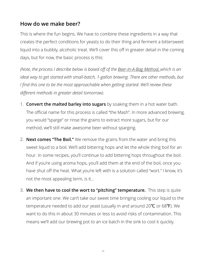#### **How do we make beer?**

This is where the fun begins. We have to combine these ingredients in a way that creates the perfect conditions for yeasts to do their thing and ferment a bittersweet liquid into a bubbly, alcoholic treat. We'll cover this off in greater detail in the coming days, but for now, the basic process is this:

*(Note, the process I describe below is based off of the [Beer-In-A-Bag Method, w](http://beersmith.com/blog/2009/04/14/brew-in-a-bag-biab-all-grain-beer-brewing/)hich is an ideal way to get started with small-batch, 1-gallon brewing. There are other methods, but I find this one to be the most approachable when getting started. We'll review these different methods in greater detail tomorrow).*

- 1. **Convert the malted barley into sugars** by soaking them in a hot water bath. The official name for this process is called "the Mash". In more advanced brewing, you would "sparge" or rinse the grains to extract more sugars, but for our method, we'll still make awesome beer without sparging.
- 2. **Next comes "The Boil."** We remove the grains from the water and bring this sweet liquid to a boil. We'll add bittering hops and let the whole thing boil for an hour. In some recipes, you'll continue to add bittering hops throughout the boil. And if you're using aroma hops, you'll add them at the end of the boil, once you have shut off the heat. What you're left with is a solution called "wort." I know, it's not the most appealing term, is it…
- 3. **We then have to cool the wort to "pitching" temperature.** This step is quite an important one. We can't take our sweet time bringing cooling our liquid to the temperature needed to add our yeast (usually in and around 20℃ or 68℉). We want to do this in about 30 minutes or less to avoid risks of contamination. This means we'll add our brewing pot to an ice batch in the sink to cool it quickly.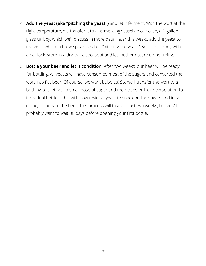- 4. **Add the yeast (aka "pitching the yeast")** and let it ferment. With the wort at the right temperature, we transfer it to a fermenting vessel (in our case, a 1-gallon glass carboy, which we'll discuss in more detail later this week), add the yeast to the wort, which in brew-speak is called "pitching the yeast." Seal the carboy with an airlock, store in a dry, dark, cool spot and let mother nature do her thing.
- 5. **Bottle your beer and let it condition.** After two weeks, our beer will be ready for bottling. All yeasts will have consumed most of the sugars and converted the wort into flat beer. Of course, we want bubbles! So, we'll transfer the wort to a bottling bucket with a small dose of sugar and then transfer that new solution to individual bottles. This will allow residual yeast to snack on the sugars and in so doing, carbonate the beer. This process will take at least two weeks, but you'll probably want to wait 30 days before opening your first bottle.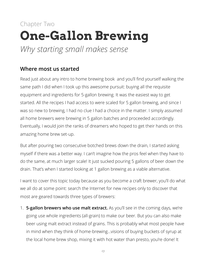### Chapter Two **One-Gallon Brewing** *Why starting small makes sense*

#### **Where most us started**

Read just about any intro to home brewing book and you'll find yourself walking the same path I did when I took up this awesome pursuit: buying all the requisite equipment and ingredients for 5-gallon brewing. It was the easiest way to get started. All the recipes I had access to were scaled for 5 gallon brewing, and since I was so new to brewing, I had no clue I had a choice in the matter. I simply assumed all home brewers were brewing in 5 gallon batches and proceeded accordingly. Eventually, I would join the ranks of dreamers who hoped to get their hands on this amazing home brew set-up.

But after pouring two consecutive botched brews down the drain, I started asking myself if there was a better way. I can't imagine how the pros feel when they have to do the same, at much larger scale! It just sucked pouring 5 gallons of beer down the drain. That's when I started looking at 1 gallon brewing as a viable alternative.

I want to cover this topic today because as you become a craft brewer, you'll do what we all do at some point: search the Internet for new recipes only to discover that most are geared towards three types of brewers:

1. **5-gallon brewers who use malt extract.** As you'll see in the coming days, we're going use whole ingredients (all-grain) to make our beer. But you can also make beer using malt extract instead of grains. This is probably what most people have in mind when they think of home-brewing…visions of buying buckets of syrup at the local home brew shop, mixing it with hot water than presto, you're done! It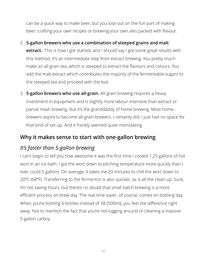can be a quick way to make beer, but you lose out on the fun part of making beer: crafting your own recipes or brewing your own ales packed with flavour.

- 2. **5-gallon brewers who use a combination of steeped grains and malt extract.** This is how I got started, and I should say I got some great results with this method. It's an intermediate step from extract brewing. You pretty much make an all-grain tea, which is steeped to extract the flavours and colours. You add the malt extract which contributes the majority of the fermentable sugars to the steeped tea and proceed with the boil.
- 3. **5-gallon brewers who use all-grain.** All-grain brewing requires a heavy investment in equipment and is slightly more labour-intensive than extract or partial mash brewing. But it's the granddaddy of home brewing. Most homebrewers aspire to become all-grain brewers. I certainly did; I just had no space for that kind of set-up. And it frankly seemed quite intimidating.

#### **Why it makes sense to start with one-gallon brewing**

### *It's faster than 5-gallon brewing*

I can't begin to tell you how awesome it was the first time I cooled 1.25 gallons of hot wort in an ice bath. I got the wort down to pitching temperature more quickly than I ever could 5 gallons. On average, it takes me 20 minutes to chill the wort down to 20ºC (68ºF). Transferring to the fermentor is also quicker, as is all the clean-up. Sure, I'm not saving hours, but there's no doubt that small batch brewing is a more efficient process on brew day. The real time-saver, of course, comes on bottling day. When you're bottling 6 bottles instead of 38 (500ml), you feel the difference right away. Not to mention the fact that you're not lugging around or cleaning a massive 5-gallon carboy.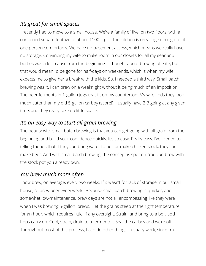#### *It's great for small spaces*

I recently had to move to a small house. We're a family of five, on two floors, with a combined square footage of about 1100 sq. ft. The kitchen is only large enough to fit one person comfortably. We have no basement access, which means we really have no storage. Convincing my wife to make room in our closets for all my gear and bottles was a lost cause from the beginning. I thought about brewing off-site, but that would mean I'd be gone for half-days on weekends, which is when my wife expects me to give her a break with the kids. So, I needed a third way. Small batch brewing was it. I can brew on a weeknight without it being much of an imposition. The beer ferments in 1-gallon jugs that fit on my countertop. My wife finds they look much cuter than my old 5-gallon carboy (score!). I usually have 2-3 going at any given time, and they really take up little space.

#### *It's an easy way to start all-grain brewing*

The beauty with small-batch brewing is that you can get going with all-grain from the beginning and build your confidence quickly. It's so easy. Really easy. I've likened to telling friends that if they can bring water to boil or make chicken stock, they can make beer. And with small batch brewing, the concept is spot on. You can brew with the stock pot you already own.

#### *You brew much more often*

I now brew, on average, every two weeks. If it wasn't for lack of storage in our small house, I'd brew beer every week. Because small batch brewing is quicker, and somewhat low-maintenance, brew days are not all encompassing like they were when I was brewing 5-gallon brews. I let the grains steep at the right temperature for an hour, which requires little, if any oversight. Strain, and bring to a boil, add hops carry on. Cool, strain, drain to a fermentor. Seal the carboy and we're off. Throughout most of this process, I can do other things—usually work, since I'm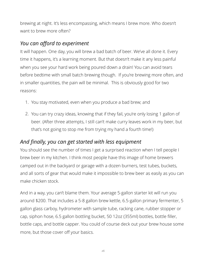brewing at night. It's less encompassing, which means I brew more. Who doesn't want to brew more often?

#### *You can afford to experiment*

It will happen. One day, you will brew a bad batch of beer. We've all done it. Every time it happens, it's a learning moment. But that doesn't make it any less painful when you see your hard work being poured down a drain! You can avoid tears before bedtime with small batch brewing though. If you're brewing more often, and in smaller quantities, the pain will be minimal. This is obviously good for two reasons:

- 1. You stay motivated, even when you produce a bad brew; and
- 2. You can try crazy ideas, knowing that if they fail, you're only losing 1 gallon of beer. (After three attempts, I still can't make curry leaves work in my beer, but that's not going to stop me from trying my hand a fourth time!)

#### *And finally, you can get started with less equipment*

You should see the number of times I get a surprised reaction when I tell people I brew beer in my kitchen. I think most people have this image of home brewers camped out in the backyard or garage with a dozen burners, test tubes, buckets, and all sorts of gear that would make it impossible to brew beer as easily as you can make chicken stock.

And in a way, you can't blame them. Your average 5-gallon starter kit will run you around \$200. That includes a 5-8 gallon brew kettle, 6.5-gallon primary fermenter, 5 gallon glass carboy, hydrometer with sample tube, racking cane, rubber stopper or cap, siphon hose, 6.5 gallon bottling bucket, 50 12oz (355ml) bottles, bottle filler, bottle caps, and bottle capper. You could of course deck out your brew house some more, but those cover off your basics.

*16*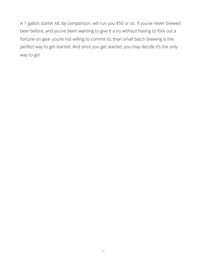A 1-gallon starter kit, by comparison, will run you \$50 or so. If you've never brewed beer before, and you've been wanting to give it a try without having to fork out a fortune on gear you're not willing to commit to, than small batch brewing is the perfect way to get started. And once you get started, you may decide it's the only way to go!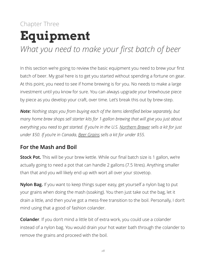## Chapter Three **Equipment** *What you need to make your first batch of beer*

In this section we're going to review the basic equipment you need to brew your first batch of beer. My goal here is to get you started without spending a fortune on gear. At this point, you need to see if home brewing is for you. No needs to make a large investment until you know for sure. You can always upgrade your brewhouse piece by piece as you develop your craft, over time. Let's break this out by brew-step.

*Note: Nothing stops you from buying each of the items identified below separately, but many home brew shops sell starter kits for 1-gallon brewing that will give you just about everything you need to get started. If you're in the U.S. [Northern Brewer](http://www.northernbrewer.com/brewing/beer-equipment-starter-kits/one-gallon-small-batch-starter-kit/1-gallon-small-batch-starter-kit) sells a kit for just under \$50. If you're in Canada, [Beer Grains](http://www.northernbrewer.com/brewing/beer-equipment-starter-kits/one-gallon-small-batch-starter-kit/1-gallon-small-batch-starter-kit) sells a kit for under \$55.*

#### **For the Mash and Boil**

**Stock Pot.** This will be your brew kettle. While our final batch size is 1 gallon, we're actually going to need a pot that can handle 2 gallons (7.5 litres). Anything smaller than that and you will likely end up with wort all over your stovetop.

**Nylon Bag.** If you want to keep things super easy, get yourself a nylon bag to put your grains when doing the mash (soaking). You then just take out the bag, let it drain a little, and then you've got a mess-free transition to the boil. Personally, I don't mind using that a good ol' fashion colander.

**Colander**. If you don't mind a little bit of extra work, you could use a colander instead of a nylon bag. You would drain your hot water bath through the colander to remove the grains and proceed with the boil.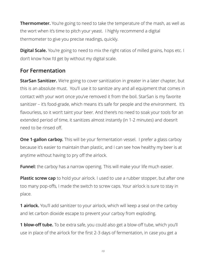**Thermometer.** You're going to need to take the temperature of the mash, as well as the wort when it's time to pitch your yeast. I highly recommend a digital thermometer to give you precise readings, quickly.

**Digital Scale.** You're going to need to mix the right ratios of milled grains, hops etc. I don't know how I'd get by without my digital scale.

#### **For Fermentation**

**StarSan Sanitizer.** We're going to cover sanitization in greater in a later chapter, but this is an absolute must. You'll use it to sanitize any and all equipment that comes in contact with your wort once you've removed it from the boil. StarSan is my favorite sanitizer – it's food-grade, which means it's safe for people and the environment. It's flavourless, so it won't taint your beer. And there's no need to soak your tools for an extended period of time, it sanitizes almost instantly (in 1-2 minutes) and doesn't need to be rinsed off.

**One 1-gallon carboy.** This will be your fermentation vessel. I prefer a glass carboy because it's easier to maintain than plastic, and I can see how healthy my beer is at anytime without having to pry off the airlock.

**Funnel:** the carboy has a narrow opening. This will make your life much easier.

**Plastic screw cap** to hold your airlock. I used to use a rubber stopper, but after one too many pop-offs, I made the switch to screw caps. Your airlock is sure to stay in place.

**1 airlock.** You'll add sanitizer to your airlock, which will keep a seal on the carboy and let carbon dioxide escape to prevent your carboy from exploding.

**1 blow-off tube.** To be extra safe, you could also get a blow-off tube, which you'll use in place of the airlock for the first 2-3 days of fermentation, in case you get a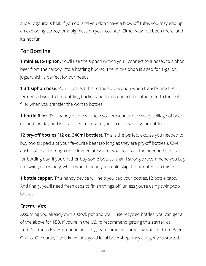super vigourous boil. If you do, and you don't have a blow-off tube, you may end up an exploding carboy, or a big mess on your counter. Either way, I've been there, and it's not fun!

### **For Bottling**

**1 mini auto-siphon.** You'll use the siphon (which you'll connect to a hose), to siphon beer from the carboy into a bottling bucket. The mini-siphon is sized for 1-gallon jugs, which is perfect for our needs.

**1 3ft siphon hose.** You'll connect this to the auto-siphon when transferring the fermented wort to the bottling bucket, and then connect the other end to the bottle filler when you transfer the wort to bottles.

**1 bottle filler.** This handy device will help you prevent unnecessary spillage of beer on bottling day and is also sized to ensure you do not overfill your bottles.

1**2 pry-off bottles (12 oz, 340ml bottles).** This is the perfect excuse you needed to buy two six packs of your favourite beer (so long as they are pry-off bottles!). Give each bottle a thorough rinse immediately after you pour out the beer and set aside for bottling day. If you'd rather buy some bottles, than I strongly recommend you buy the swing-top variety, which would mean you could skip the next item on this list.

**1 bottle capper.** This handy device will help you cap your bottles.12 bottle caps. And finally, you'll need fresh caps to finish things off, unless you're using swing-top bottles.

#### *Starter Kits*

Assuming you already own a stock pot and you'll use recycled bottles, you can get all of the above for \$50. If you're in the US, I'd recommend getting this starter kit from Northern Brewer. Canadians, I highly recommend ordering your kit from Beer Grains. Of course, if you know of a good local brew shop, they can get you started.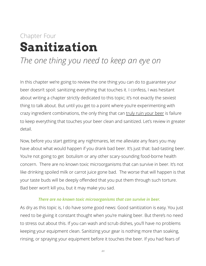# Chapter Four **Sanitization**

### *The one thing you need to keep an eye on*

In this chapter we're going to review the one thing you can do to guarantee your beer doesn't spoil: sanitizing everything that touches it. I confess, I was hesitant about writing a chapter strictly dedicated to this topic; it's not exactly the sexiest thing to talk about. But until you get to a point where you're experimenting with crazy ingredient combinations, the only thing that can [truly ruin your beer](http://homebrewmanual.com/homebrew-sanitising/) is failure to keep everything that touches your beer clean and sanitized. Let's review in greater detail.

Now, before you start getting any nightmares, let me alleviate any fears you may have about what would happen if you drank bad beer. It's just that: bad-tasting beer. You're not going to get botulism or any other scary-sounding food-borne health concern. There are no known toxic microorganisms that can survive in beer. It's not like drinking spoiled milk or carrot juice gone bad. The worse that will happen is that your taste buds will be deeply offended that you put them through such torture. Bad beer won't kill you, but it may make you sad.

#### *There are no known toxic microorganisms that can survive in beer.*

As dry as this topic is, I do have some good news: Good sanitization is easy. You just need to be giving it constant thought when you're making beer. But there's no need to stress out about this. If you can wash and scrub dishes, you'll have no problems keeping your equipment clean. Sanitizing your gear is nothing more than soaking, rinsing, or spraying your equipment before it touches the beer. If you had fears of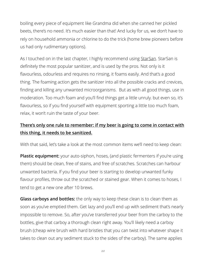boiling every piece of equipment like Grandma did when she canned her pickled beets, there's no need. It's much easier than that! And lucky for us, we don't have to rely on household ammonia or chlorine to do the trick (home brew pioneers before us had only rudimentary options).

As I touched on in the last chapter, I highly recommend using [StarSan.](http://amzn.to/1P0mrv4) StarSan is definitely the most popular sanitizer, and is used by the pros. Not only is it flavourless, odourless and requires no rinsing, it foams easily. And that's a good thing. The foaming action gets the sanitizer into all the possible cracks and crevices, finding and killing any unwanted microorganisms. But as with all good things, use in moderation. Too much foam and you'll find things get a little unruly. but even so, it's flavourless, so if you find yourself with equipment sporting a little too much foam, relax, it won't ruin the taste of your beer.

#### **There's only one rule to remember: if my beer is going to come in contact with this thing, it needs to be sanitized.**

With that said, let's take a look at the most common items we'll need to keep clean:

**Plastic equipment:** your auto-siphon, hoses, (and plastic fermenters if you're using them) should be clean, free of stains, and free of scratches. Scratches can harbour unwanted bacteria. If you find your beer is starting to develop unwanted funky flavour profiles, throw out the scratched or stained gear. When it comes to hoses, I tend to get a new one after 10 brews.

**Glass carboys and bottles:** the only way to keep these clean is to clean them as soon as you've emptied them. Get lazy and you'll end up with sediment that's nearly impossible to remove. So, after you've transferred your beer from the carboy to the bottles, give that carboy a thorough clean right away. You'll likely need a carboy brush (cheap wire brush with hard bristles that you can twist into whatever shape it takes to clean out any sediment stuck to the sides of the carboy). The same applies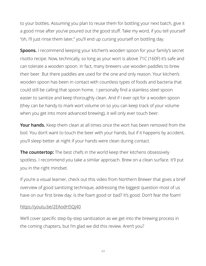to your bottles. Assuming you plan to reuse them for bottling your next batch, give it a good rinse after you've poured out the good stuff. Take my word, if you tell yourself "oh, I'll just rinse them later," you'll end up cursing yourself on bottling day.

**Spoons.** I recommend keeping your kitchen's wooden spoon for your family's secret risotto recipe. Now, technically, so long as your wort is above 71C (160F) it's safe and can tolerate a wooden spoon. In fact, many brewers use wooden paddles to brew their beer. But there paddles are used for the one and only reason. Your kitchen's wooden spoon has been in contact with countless types of foods and bacteria that could still be calling that spoon home. I personally find a stainless steel spoon easier to sanitize and keep thoroughly clean. And if I ever opt for a wooden spoon (they can be handy to mark wort volume on so you can keep track of your volume when you get into more advanced brewing), it will only ever touch beer.

**Your hands.** Keep them clean at all times once the wort has been removed from the boil. You don't want to touch the beer with your hands, but if it happens by accident, you'll sleep better at night if your hands were clean during contact.

**The countertop:** The best chefs in the world keep their kitchens obsessively spotless. I recommend you take a similar approach. Brew on a clean surface. It'll put you in the right mindset.

If you're a visual learner, check out this video from Northern Brewer that gives a brief overview of good sanitizing technique, addressing the biggest question most of us have on our first brew day: is the foam good or bad? It's good. Don't fear the foam!

#### <https://youtu.be/2EAodH5Qj40>

We'll cover specific step-by-step sanitization as we get into the brewing process in the coming chapters, but I'm glad we did this review. Aren't you?

*23*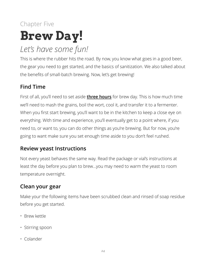# Chapter Five **Brew Day!**

### *Let's have some fun!*

This is where the rubber hits the road. By now, you know what goes in a good beer, the gear you need to get started, and the basics of sanitization. We also talked about the benefits of small-batch brewing. Now, let's get brewing!

### **Find Time**

First of all, you'll need to set aside **three hours** for brew day. This is how much time we'll need to mash the grains, boil the wort, cool it, and transfer it to a fermenter. When you first start brewing, you'll want to be in the kitchen to keep a close eye on everything. With time and experience, you'll eventually get to a point where, if you need to, or want to, you can do other things as you're brewing. But for now, you're going to want make sure you set enough time aside to you don't feel rushed.

#### **Review yeast Instructions**

Not every yeast behaves the same way. Read the package or vial's instructions at least the day before you plan to brew…you may need to warm the yeast to room temperature overnight.

### **Clean your gear**

Make your the following items have been scrubbed clean and rinsed of soap residue before you get started.

- Brew kettle
- Stirring spoon
- Colander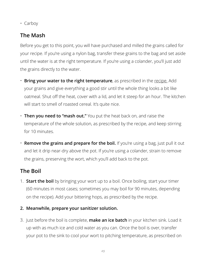• Carboy

### **The Mash**

Before you get to this point, you will have purchased and milled the grains called for your recipe. If you're using a nylon bag, transfer these grains to the bag and set aside until the water is at the right temperature. If you're using a colander, you'll just add the grains directly to the water.

- **Bring your water to the right temperature**, as prescribed in the [recipe.](http://www.beercraftr.com/1-gallon-beer-recipes/) Add your grains and give everything a good stir until the whole thing looks a bit like oatmeal. Shut off the heat, cover with a lid, and let it steep for an hour. The kitchen will start to smell of roasted cereal. It's quite nice.
- **Then you need to "mash out."** You put the heat back on, and raise the temperature of the whole solution, as prescribed by the recipe, and keep stirring for 10 minutes.
- **Remove the grains and prepare for the boil.** If you're using a bag, just pull it out and let it drip near-dry above the pot. If you're using a colander, strain to remove the grains, preserving the wort, which you'll add back to the pot.

### **The Boil**

- 1. **Start the boil** by bringing your wort up to a boil. Once boiling, start your timer (60 minutes in most cases; sometimes you may boil for 90 minutes, depending on the recipe). Add your bittering hops, as prescribed by the recipe.
- **2. Meanwhile, prepare your sanitizer solution.**
- 3. Just before the boil is complete, **make an ice batch** in your kitchen sink. Load it up with as much ice and cold water as you can. Once the boil is over, transfer your pot to the sink to cool your wort to pitching temperature, as prescribed on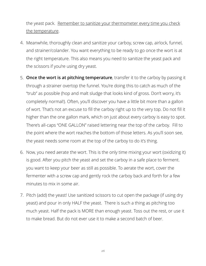the yeast pack. Remember to sanitize your thermometer every time you check the temperature.

- 4. Meanwhile, thoroughly clean and sanitize your carboy, screw cap, airlock, funnel, and strainer/colander. You want everything to be ready to go once the wort is at the right temperature. This also means you need to sanitize the yeast pack and the scissors if you're using dry yeast.
- 5. **Once the wort is at pitching temperature**, transfer it to the carboy by passing it through a strainer overtop the funnel. You're doing this to catch as much of the "trub" as possible (hop and malt sludge that looks kind of gross. Don't worry, it's completely normal!). Often, you'll discover you have a little bit more than a gallon of wort. That's not an excuse to fill the carboy right up to the very top. Do not fill it higher than the one gallon mark, which on just about every carboy is easy to spot. There's all-caps "ONE GALLON" raised lettering near the top of the carboy. Fill to the point where the wort reaches the bottom of those letters. As you'll soon see, the yeast needs some room at the top of the carboy to do it's thing.
- 6. Now, you need aerate the wort. This is the only time mixing your wort (oxidizing it) is good. After you pitch the yeast and set the carboy in a safe place to ferment. you want to keep your beer as still as possible. To aerate the wort, cover the fermenter with a screw cap and gently rock the carboy back and forth for a few minutes to mix in some air.
- 7. Pitch (add) the yeast! Use sanitized scissors to cut open the package (if using dry yeast) and pour in only HALF the yeast. There is such a thing as pitching too much yeast. Half the pack is MORE than enough yeast. Toss out the rest, or use it to make bread. But do not ever use it to make a second batch of beer.

*26*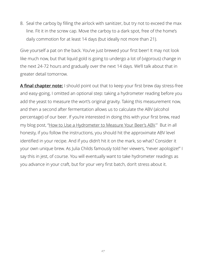8. Seal the carboy by filling the airlock with sanitizer, but try not to exceed the max line. Fit it in the screw cap. Move the carboy to a dark spot, free of the home's daily commotion for at least 14 days (but ideally not more than 21).

Give yourself a pat on the back. You've just brewed your first beer! It may not look like much now, but that liquid gold is going to undergo a lot of (vigorous) change in the next 24-72 hours and gradually over the next 14 days. We'll talk about that in greater detail tomorrow.

**A final chapter note:** I should point out that to keep your first brew day stress-free and easy-going, I omitted an optional step: taking a hydrometer reading before you add the yeast to measure the wort's original gravity. Taking this measurement now, and then a second after fermentation allows us to calculate the ABV (alcohol percentage) of our beer. If you're interested in doing this with your first brew, read my blog post, ["How to Use a Hydrometer to Measure Your Beer's ABV.](http://www.beercraftr.com/how-to-use-hydrometer-to-measure-ABV)" But in all honesty, if you follow the instructions, you should hit the approximate ABV level identified in your recipe. And if you didn't hit it on the mark, so what? Consider it your own unique brew. As Julia Childs famously told her viewers, "never apologize!" I say this in jest, of course. You will eventually want to take hydrometer readings as you advance in your craft, but for your very first batch, don't stress about it.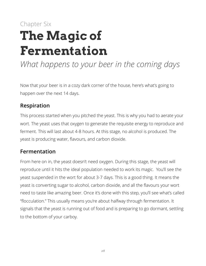# Chapter Six **The Magic of Fermentation**

*What happens to your beer in the coming days* 

Now that your beer is in a cozy dark corner of the house, here's what's going to happen over the next 14 days.

#### **Respiration**

This process started when you pitched the yeast. This is why you had to aerate your wort. The yeast uses that oxygen to generate the requisite energy to reproduce and ferment. This will last about 4-8 hours. At this stage, no alcohol is produced. The yeast is producing water, flavours, and carbon dioxide.

#### **Fermentation**

From here on in, the yeast doesn't need oxygen. During this stage, the yeast will reproduce until it hits the ideal population needed to work its magic. You'll see the yeast suspended in the wort for about 3-7 days. This is a good thing. It means the yeast is converting sugar to alcohol, carbon dioxide, and all the flavours your wort need to taste like amazing beer. Once it's done with this step, you'll see what's called "flocculation." This usually means you're about halfway through fermentation. It signals that the yeast is running out of food and is preparing to go dormant, settling to the bottom of your carboy.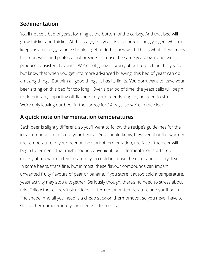#### **Sedimentation**

You'll notice a bed of yeast forming at the bottom of the carboy. And that bed will grow thicker and thicker. At this stage, the yeast is also producing glycogen, which it keeps as an energy source should it get added to new wort. This is what allows many homebrewers and professional brewers to reuse the same yeast over and over to produce consistent flavours. We're not going to worry about re-pitching this yeast, but know that when you get into more advanced brewing, this bed of yeast can do amazing things. But with all good things, it has its limits. You don't want to leave your beer sitting on this bed for too long. Over a period of time, the yeast cells will begin to deteriorate, imparting off-flavours to your beer. But again, no need to stress. We're only leaving our beer in the carboy for 14 days, so we're in the clear!

#### **A quick note on fermentation temperatures**

Each beer is slightly different, so you'll want to follow the recipe's guidelines for the ideal temperature to store your beer at. You should know, however, that the warmer the temperature of your beer at the start of fermentation, the faster the beer will begin to ferment. That might sound convenient, but if fermentation starts too quickly at too warm a temperature, you could increase the ester and diacetyl levels. In some beers, that's fine, but in most, these flavour compounds can impart unwanted fruity flavours of pear or banana. If you store it at too cold a temperature, yeast activity may stop altogether. Seriously though, there's no need to stress about this. Follow the recipe's instructions for fermentation temperature and you'll be in fine shape. And all you need is a cheap stick-on thermometer, so you never have to stick a thermometer into your beer as it ferments.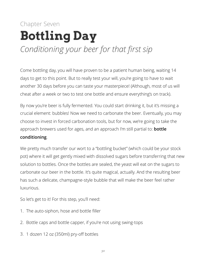# Chapter Seven **Bottling Day** *Conditioning your beer for that first sip*

Come bottling day, you will have proven to be a patient human being, waiting 14 days to get to this point. But to really test your will, you're going to have to wait another 30 days before you can taste your masterpiece! (Although, most of us will cheat after a week or two to test one bottle and ensure everything's on track).

By now you're beer is fully fermented. You could start drinking it, but it's missing a crucial element: bubbles! Now we need to carbonate the beer. Eventually, you may choose to invest in forced carbonation tools, but for now, we're going to take the approach brewers used for ages, and an approach I'm still partial to: **bottle** 

#### **conditioning**.

We pretty much transfer our wort to a "bottling bucket" (which could be your stock pot) where it will get gently mixed with dissolved sugars before transferring that new solution to bottles. Once the bottles are sealed, the yeast will eat on the sugars to carbonate our beer in the bottle. It's quite magical, actually. And the resulting beer has such a delicate, champagne-style bubble that will make the beer feel rather luxurious.

So let's get to it! For this step, you'll need:

- 1. The auto-siphon, hose and bottle filler
- 2. Bottle caps and bottle capper, if you're not using swing-tops
- 3. 1 dozen 12 oz (350ml) pry-off bottles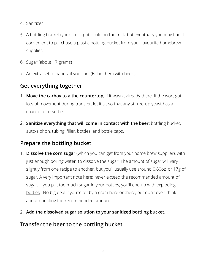- 4. Sanitizer
- 5. A bottling bucket (your stock pot could do the trick, but eventually you may find it convenient to purchase a plastic bottling bucket from your favourite homebrew supplier.
- 6. Sugar (about 17 grams)
- 7. An extra set of hands, if you can. (Bribe them with beer!)

#### **Get everything together**

- 1. **Move the carboy to a the countertop,** if it wasn't already there. If the wort got lots of movement during transfer, let it sit so that any stirred-up yeast has a chance to re-settle.
- 2. **Sanitize everything that will come in contact with the beer:** bottling bucket, auto-siphon, tubing, filler, bottles, and bottle caps.

### **Prepare the bottling bucket**

- 1. **Dissolve the corn sugar** (which you can get from your home brew supplier), with just enough boiling water to dissolve the sugar. The amount of sugar will vary slightly from one recipe to another, but you'll usually use around 0.60oz, or 17g of sugar. A very important note here: never exceed the recommended amount of sugar. If you put too much sugar in your bottles, you'll end up with exploding bottles. No big deal if you're off by a gram here or there, but don't even think about doubling the recommended amount.
- 2. **Add the dissolved sugar solution to your sanitized bottling bucket**.

#### **Transfer the beer to the bottling bucket**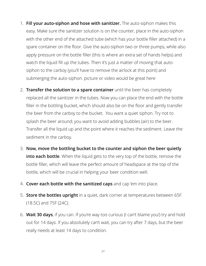- 1. **Fill your auto-siphon and hose with sanitizer.** The auto-siphon makes this easy. Make sure the sanitizer solution is on the counter, place in the auto-siphon with the other end of the attached tube (which has your bottle filler attached) in a spare container on the floor. Give the auto-siphon two or three pumps, while also apply pressure on the bottle filler (this is where an extra set of hands helps) and watch the liquid fill up the tubes. Then it's just a matter of moving that autosiphon to the carboy (you'll have to remove the airlock at this point) and submerging the auto-siphon. picture or video would be great here
- 2. **Transfer the solution to a spare container** until the beer has completely replaced all the sanitizer in the tubes. Now you can place the end with the bottle filler in the bottling bucket, which should also be on the floor and gently transfer the beer from the carboy to the bucket. You want a quiet siphon. Try not to splash the beer around; you want to avoid adding bubbles (air) to the beer. Transfer all the liquid up and the point where it reaches the sediment. Leave the sediment in the carboy.
- 3. **Now, move the bottling bucket to the counter and siphon the beer quietly into each bottle**. When the liquid gets to the very top of the bottle, remove the bottle filler, which will leave the perfect amount of headspace at the top of the bottle, which will be crucial in helping your beer condition well.
- 4. **Cover each bottle with the sanitized caps** and cap 'em into place.
- 5. **Store the bottles upright** in a quiet, dark corner at temperatures between 65F (18.5C) and 75F (24C).
- 6. **Wait 30 days**, if you can. If you're way too curious (I can't blame you!) try and hold out for 14 days. If you absolutely can't wait, you can try after 7 days, but the beer really needs at least 14 days to condition.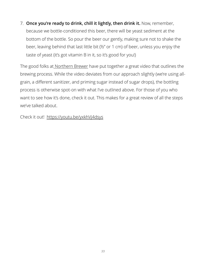7. **Once you're ready to drink, chill it lightly, then drink it.** Now, remember, because we bottle-conditioned this beer, there will be yeast sediment at the bottom of the bottle. So pour the beer our gently, making sure not to shake the beer, leaving behind that last little bit (½" or 1 cm) of beer, unless you enjoy the taste of yeast (it's got vitamin B in it, so it's good for you!)

The good folks at [Northern Brewer](http://www.northernbrewer.com/) have put together a great video that outlines the brewing process. While the video deviates from our approach slightly (we're using allgrain, a different sanitizer, and priming sugar instead of sugar drops), the bottling process is otherwise spot-on with what I've outlined above. For those of you who want to see how it's done, check it out. This makes for a great review of all the steps we've talked about.

Check it out! <https://youtu.be/yxkhVj4dsys>